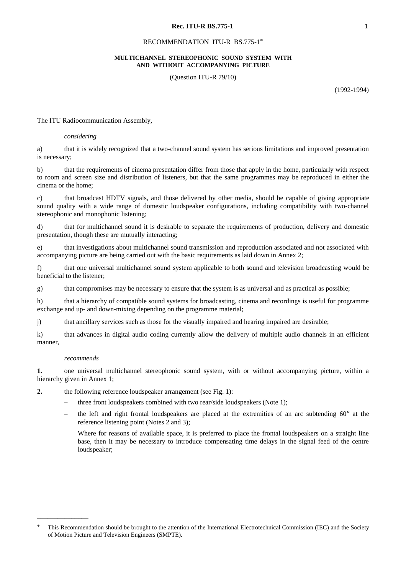#### RECOMMENDATION ITU-R BS.775-1\*

### **MULTICHANNEL STEREOPHONIC SOUND SYSTEM WITH AND WITHOUT ACCOMPANYING PICTURE**

(Question ITU-R 79/10)

(1992-1994)

The ITU Radiocommunication Assembly,

#### *considering*

a) that it is widely recognized that a two-channel sound system has serious limitations and improved presentation is necessary;

b) that the requirements of cinema presentation differ from those that apply in the home, particularly with respect to room and screen size and distribution of listeners, but that the same programmes may be reproduced in either the cinema or the home;

c) that broadcast HDTV signals, and those delivered by other media, should be capable of giving appropriate sound quality with a wide range of domestic loudspeaker configurations, including compatibility with two-channel stereophonic and monophonic listening;

d) that for multichannel sound it is desirable to separate the requirements of production, delivery and domestic presentation, though these are mutually interacting;

e) that investigations about multichannel sound transmission and reproduction associated and not associated with accompanying picture are being carried out with the basic requirements as laid down in Annex 2;

f) that one universal multichannel sound system applicable to both sound and television broadcasting would be beneficial to the listener;

g) that compromises may be necessary to ensure that the system is as universal and as practical as possible;

h) that a hierarchy of compatible sound systems for broadcasting, cinema and recordings is useful for programme exchange and up- and down-mixing depending on the programme material;

j) that ancillary services such as those for the visually impaired and hearing impaired are desirable;

k) that advances in digital audio coding currently allow the delivery of multiple audio channels in an efficient manner,

#### *recommends*

**\_\_\_\_\_\_\_\_\_\_\_\_\_\_\_**

**1.** one universal multichannel stereophonic sound system, with or without accompanying picture, within a hierarchy given in Annex 1;

**2.** the following reference loudspeaker arrangement (see Fig. 1):

- three front loudspeakers combined with two rear/side loudspeakers (Note 1);
- the left and right frontal loudspeakers are placed at the extremities of an arc subtending  $60^{\circ}$  at the reference listening point (Notes 2 and 3);

Where for reasons of available space, it is preferred to place the frontal loudspeakers on a straight line base, then it may be necessary to introduce compensating time delays in the signal feed of the centre loudspeaker;

<sup>\*</sup> This Recommendation should be brought to the attention of the International Electrotechnical Commission (IEC) and the Society of Motion Picture and Television Engineers (SMPTE).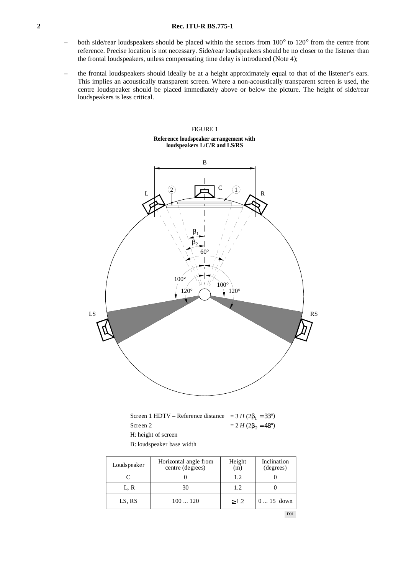- both side/rear loudspeakers should be placed within the sectors from 100° to 120° from the centre front reference. Precise location is not necessary. Side/rear loudspeakers should be no closer to the listener than the frontal loudspeakers, unless compensating time delay is introduced (Note 4);
- the frontal loudspeakers should ideally be at a height approximately equal to that of the listener's ears. This implies an acoustically transparent screen. Where a non-acoustically transparent screen is used, the centre loudspeaker should be placed immediately above or below the picture. The height of side/rear loudspeakers is less critical.

## FIGURE 1 **Reference loudspeaker arrangement with loudspeakers L/C/R and LS/RS**



Screen 1 HDTV – Reference distance  $= 3 H (2\beta_1 = 33^\circ)$ Screen 2 H: height of screen  $= 2 H (2β<sub>2</sub> = 48<sup>°</sup>)$ 

B: loudspeaker base width

| Loudspeaker | Horizontal angle from<br>centre (degrees) | Height<br>(m) | Inclination<br>(degrees) |  |  |
|-------------|-------------------------------------------|---------------|--------------------------|--|--|
|             |                                           | 1.2           |                          |  |  |
| L. R        | 30                                        | 1.2           |                          |  |  |
| LS, RS      | 100120                                    | $\geq 1.2$    | $015$ down               |  |  |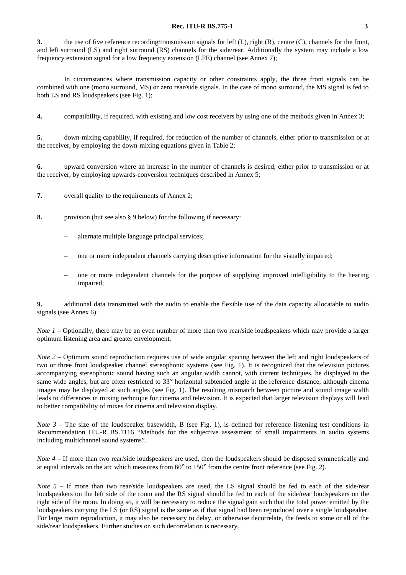**3.** the use of five reference recording/transmission signals for left (L), right (R), centre (C), channels for the front, and left surround (LS) and right surround (RS) channels for the side/rear. Additionally the system may include a low frequency extension signal for a low frequency extension (LFE) channel (see Annex 7);

In circumstances where transmission capacity or other constraints apply, the three front signals can be combined with one (mono surround, MS) or zero rear/side signals. In the case of mono surround, the MS signal is fed to both LS and RS loudspeakers (see Fig. 1);

**4.** compatibility, if required, with existing and low cost receivers by using one of the methods given in Annex 3;

**5.** down-mixing capability, if required, for reduction of the number of channels, either prior to transmission or at the receiver, by employing the down-mixing equations given in Table 2;

**6.** upward conversion where an increase in the number of channels is desired, either prior to transmission or at the receiver, by employing upwards-conversion techniques described in Annex 5;

- **7.** overall quality to the requirements of Annex 2;
- **8.** provision (but see also § 9 below) for the following if necessary:
	- alternate multiple language principal services;
	- one or more independent channels carrying descriptive information for the visually impaired;
	- one or more independent channels for the purpose of supplying improved intelligibility to the hearing impaired;

**9.** additional data transmitted with the audio to enable the flexible use of the data capacity allocatable to audio signals (see Annex 6).

*Note 1* – Optionally, there may be an even number of more than two rear/side loudspeakers which may provide a larger optimum listening area and greater envelopment.

*Note 2* – Optimum sound reproduction requires use of wide angular spacing between the left and right loudspeakers of two or three front loudspeaker channel stereophonic systems (see Fig. 1). It is recognized that the television pictures accompanying stereophonic sound having such an angular width cannot, with current techniques, be displayed to the same wide angles, but are often restricted to 33° horizontal subtended angle at the reference distance, although cinema images may be displayed at such angles (see Fig. 1). The resulting mismatch between picture and sound image width leads to differences in mixing technique for cinema and television. It is expected that larger television displays will lead to better compatibility of mixes for cinema and television display.

*Note 3* – The size of the loudspeaker basewidth, B (see Fig. 1), is defined for reference listening test conditions in Recommendation ITU-R BS.1116 "Methods for the subjective assessment of small impairments in audio systems including multichannel sound systems".

*Note 4* – If more than two rear/side loudspeakers are used, then the loudspeakers should be disposed symmetrically and at equal intervals on the arc which measures from  $60^{\circ}$  to  $150^{\circ}$  from the centre front reference (see Fig. 2).

*Note* 5 – If more than two rear/side loudspeakers are used, the LS signal should be fed to each of the side/rear loudspeakers on the left side of the room and the RS signal should be fed to each of the side/rear loudspeakers on the right side of the room. In doing so, it will be necessary to reduce the signal gain such that the total power emitted by the loudspeakers carrying the LS (or RS) signal is the same as if that signal had been reproduced over a single loudspeaker. For large room reproduction, it may also be necessary to delay, or otherwise decorrelate, the feeds to some or all of the side/rear loudspeakers. Further studies on such decorrelation is necessary.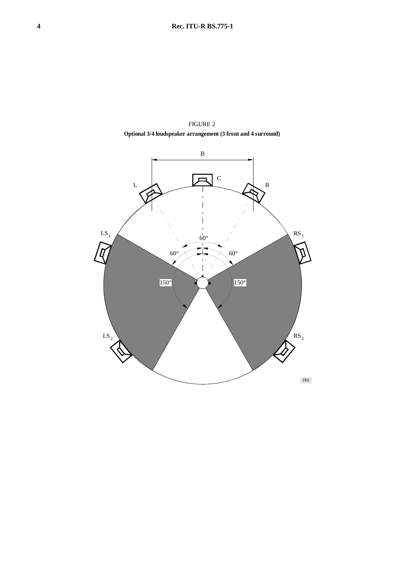

FIGURE 2 **Optional 3/4 loudspeaker arrangement (3 front and 4 surround)**

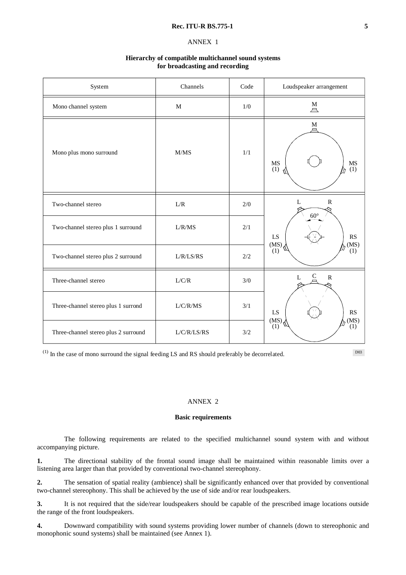# ANNEX 1

### **Hierarchy of compatible multichannel sound systems for broadcasting and recording**

| System                               | Channels            | Code  | Loudspeaker arrangement                     |  |  |
|--------------------------------------|---------------------|-------|---------------------------------------------|--|--|
| Mono channel system                  | $\mathbf M$         | 1/0   | $\stackrel{\text{M}}{\triangle}$            |  |  |
| Mono plus mono surround              | M/MS                | 1/1   | $M_{\Box}$<br><b>MS</b><br>MS<br>(1)<br>(1) |  |  |
| Two-channel stereo                   | ${\rm L/R}$         | $2/0$ | $\mathbb{R}$<br>$\mathbf{L}$                |  |  |
| Two-channel stereo plus 1 surround   | L/R/MS<br>2/1<br>LS |       | $60^{\circ}$<br><b>RS</b><br>(MS)<br>(MS)   |  |  |
| Two-channel stereo plus 2 surround   | L/R/LS/RS           | 2/2   | (1)<br>(1)                                  |  |  |
| Three-channel stereo                 | L/C/R               | 3/0   | C<br>${\bf R}$<br>L                         |  |  |
| Three-channel stereo plus 1 surrond  | L/C/R/MS            | 3/1   | LS<br><b>RS</b><br>(MS)                     |  |  |
| Three-channel stereo plus 2 surround | L/C/R/LS/RS         | 3/2   | $(MS)$ , $(1)$<br>(1)                       |  |  |

 $^{(1)}$  In the case of mono surround the signal feeding LS and RS should preferably be decorrelated.

D03

## ANNEX 2

### **Basic requirements**

The following requirements are related to the specified multichannel sound system with and without accompanying picture.

**1.** The directional stability of the frontal sound image shall be maintained within reasonable limits over a listening area larger than that provided by conventional two-channel stereophony.

**2.** The sensation of spatial reality (ambience) shall be significantly enhanced over that provided by conventional two-channel stereophony. This shall be achieved by the use of side and/or rear loudspeakers.

**3.** It is not required that the side/rear loudspeakers should be capable of the prescribed image locations outside the range of the front loudspeakers.

**4.** Downward compatibility with sound systems providing lower number of channels (down to stereophonic and monophonic sound systems) shall be maintained (see Annex 1).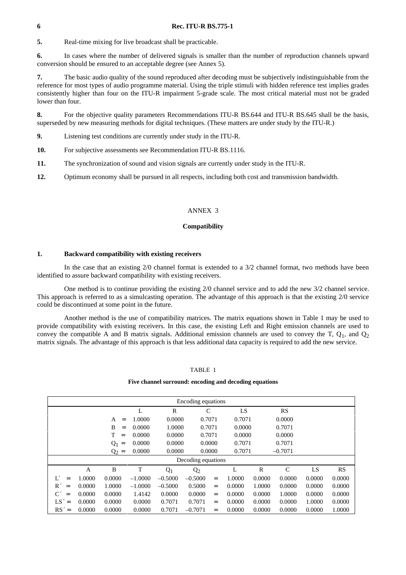**5.** Real-time mixing for live broadcast shall be practicable.

**6.** In cases where the number of delivered signals is smaller than the number of reproduction channels upward conversion should be ensured to an acceptable degree (see Annex 5).

**7.** The basic audio quality of the sound reproduced after decoding must be subjectively indistinguishable from the reference for most types of audio programme material. Using the triple stimuli with hidden reference test implies grades consistently higher than four on the ITU-R impairment 5-grade scale. The most critical material must not be graded lower than four.

**8.** For the objective quality parameters Recommendations ITU-R BS.644 and ITU-R BS.645 shall be the basis, superseded by new measuring methods for digital techniques. (These matters are under study by the ITU-R.)

**9.** Listening test conditions are currently under study in the ITU-R.

**10.** For subjective assessments see Recommendation ITU-R BS.1116.

**11.** The synchronization of sound and vision signals are currently under study in the ITU-R.

**12.** Optimum economy shall be pursued in all respects, including both cost and transmission bandwidth.

## ANNEX 3

## **Compatibility**

## **1. Backward compatibility with existing receivers**

In the case that an existing 2/0 channel format is extended to a  $3/2$  channel format, two methods have been identified to assure backward compatibility with existing receivers.

One method is to continue providing the existing 2/0 channel service and to add the new 3/2 channel service. This approach is referred to as a simulcasting operation. The advantage of this approach is that the existing 2/0 service could be discontinued at some point in the future.

Another method is the use of compatibility matrices. The matrix equations shown in Table 1 may be used to provide compatibility with existing receivers. In this case, the existing Left and Right emission channels are used to convey the compatible A and B matrix signals. Additional emission channels are used to convey the T,  $Q_1$ , and  $Q_2$ matrix signals. The advantage of this approach is that less additional data capacity is required to add the new service.

## TABLE 1

#### **Five channel surround: encoding and decoding equations**

| Encoding equations |        |                   |           |           |                |     |        |              |               |        |           |
|--------------------|--------|-------------------|-----------|-----------|----------------|-----|--------|--------------|---------------|--------|-----------|
|                    |        |                   | L         | R         | $\mathsf{C}$   |     | LS     |              | RS            |        |           |
|                    |        | А<br>$=$          | 1.0000    | 0.0000    | 0.7071         |     | 0.7071 |              | 0.0000        |        |           |
|                    |        | B<br>$=$          | 0.0000    | 1.0000    | 0.7071         |     | 0.0000 |              | 0.7071        |        |           |
|                    |        | T<br>$=$          | 0.0000    | 0.0000    | 0.7071         |     | 0.0000 |              | 0.0000        |        |           |
|                    |        | $Q_1$<br>$\equiv$ | 0.0000    | 0.0000    | 0.0000         |     | 0.7071 |              | 0.7071        |        |           |
|                    |        | $Q_2 =$           | 0.0000    | 0.0000    | 0.0000         |     | 0.7071 |              | $-0.7071$     |        |           |
| Decoding equations |        |                   |           |           |                |     |        |              |               |        |           |
|                    | A      | B                 | T         | $Q_1$     | Q <sub>2</sub> |     | L      | $\mathbb{R}$ | $\mathcal{C}$ | LS     | <b>RS</b> |
| Ľ<br>$=$           | 1.0000 | 0.0000            | $-1.0000$ | $-0.5000$ | $-0.5000$      | $=$ | 1.0000 | 0.0000       | 0.0000        | 0.0000 | 0.0000    |
| R'<br>$=$          | 0.0000 | 1.0000            | $-1.0000$ | $-0.5000$ | 0.5000         | $=$ | 0.0000 | 1.0000       | 0.0000        | 0.0000 | 0.0000    |
| $\rm C'$<br>$=$    | 0.0000 | 0.0000            | 1.4142    | 0.0000    | 0.0000         | $=$ | 0.0000 | 0.0000       | 1.0000        | 0.0000 | 0.0000    |
| $LS' =$            | 0.0000 | 0.0000            | 0.0000    | 0.7071    | 0.7071         | $=$ | 0.0000 | 0.0000       | 0.0000        | 1.0000 | 0.0000    |
| $RS' =$            | 0.0000 | 0.0000            | 0.0000    | 0.7071    | $-0.7071$      | $=$ | 0.0000 | 0.0000       | 0.0000        | 0.0000 | 1.0000    |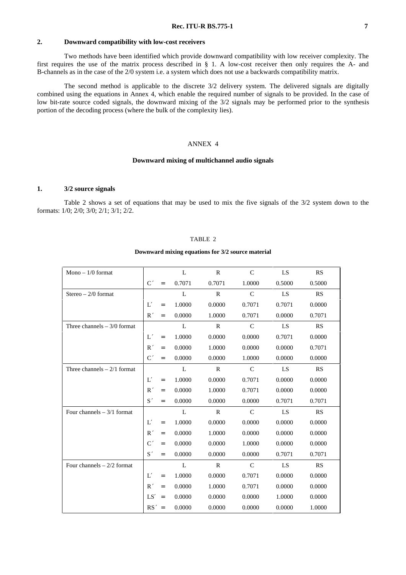## **2. Downward compatibility with low-cost receivers**

Two methods have been identified which provide downward compatibility with low receiver complexity. The first requires the use of the matrix process described in § 1. A low-cost receiver then only requires the A- and B-channels as in the case of the 2/0 system i.e. a system which does not use a backwards compatibility matrix.

The second method is applicable to the discrete 3/2 delivery system. The delivered signals are digitally combined using the equations in Annex 4, which enable the required number of signals to be provided. In the case of low bit-rate source coded signals, the downward mixing of the  $3/2$  signals may be performed prior to the synthesis portion of the decoding process (where the bulk of the complexity lies).

### ANNEX 4

#### **Downward mixing of multichannel audio signals**

#### **1. 3/2 source signals**

Table 2 shows a set of equations that may be used to mix the five signals of the 3/2 system down to the formats: 1/0; 2/0; 3/0; 2/1; 3/1; 2/2.

#### TABLE 2

#### **Downward mixing equations for 3/2 source material**

| Mono $-1/0$ format           |         |     | L      | $\mathbf R$  | $\mathcal{C}$ | LS     | RS     |
|------------------------------|---------|-----|--------|--------------|---------------|--------|--------|
|                              | C'      | $=$ | 0.7071 | 0.7071       | 1.0000        | 0.5000 | 0.5000 |
| $Stereo - 2/0$ format        |         |     | L      | $\mathbb{R}$ | $\mathcal{C}$ | LS     | RS     |
|                              | L'      | $=$ | 1.0000 | 0.0000       | 0.7071        | 0.7071 | 0.0000 |
|                              | R'      | $=$ | 0.0000 | 1.0000       | 0.7071        | 0.0000 | 0.7071 |
| Three channels $-3/0$ format |         |     | L      | $\mathbb{R}$ | $\mathcal{C}$ | LS     | RS     |
|                              | L'      | $=$ | 1.0000 | 0.0000       | 0.0000        | 0.7071 | 0.0000 |
|                              | R'      | $=$ | 0.0000 | 1.0000       | 0.0000        | 0.0000 | 0.7071 |
|                              | C'      | $=$ | 0.0000 | 0.0000       | 1.0000        | 0.0000 | 0.0000 |
| Three channels $-2/1$ format |         |     | L      | $\mathbb{R}$ | $\mathcal{C}$ | LS     | RS     |
|                              | L'      | $=$ | 1.0000 | 0.0000       | 0.7071        | 0.0000 | 0.0000 |
|                              | R'      | $=$ | 0.0000 | 1.0000       | 0.7071        | 0.0000 | 0.0000 |
|                              | S'      | $=$ | 0.0000 | 0.0000       | 0.0000        | 0.7071 | 0.7071 |
| Four channels $-3/1$ format  |         |     | L      | $\mathbb{R}$ | $\mathcal{C}$ | LS     | RS     |
|                              | L'      | $=$ | 1.0000 | 0.0000       | 0.0000        | 0.0000 | 0.0000 |
|                              | R'      | $=$ | 0.0000 | 1.0000       | 0.0000        | 0.0000 | 0.0000 |
|                              | C'      | $=$ | 0.0000 | 0.0000       | 1.0000        | 0.0000 | 0.0000 |
|                              | S'      | $=$ | 0.0000 | 0.0000       | 0.0000        | 0.7071 | 0.7071 |
| Four channels $-2/2$ format  |         |     | L      | $\mathbf R$  | $\mathcal{C}$ | LS     | RS     |
|                              | L'      | $=$ | 1.0000 | 0.0000       | 0.7071        | 0.0000 | 0.0000 |
|                              | R'      | $=$ | 0.0000 | 1.0000       | 0.7071        | 0.0000 | 0.0000 |
|                              | LS'     | $=$ | 0.0000 | 0.0000       | 0.0000        | 1.0000 | 0.0000 |
|                              | $RS' =$ |     | 0.0000 | 0.0000       | 0.0000        | 0.0000 | 1.0000 |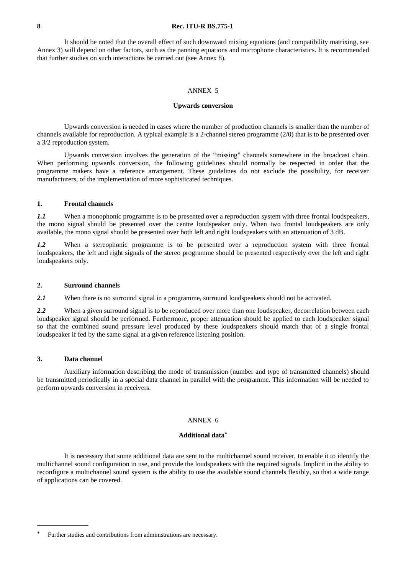It should be noted that the overall effect of such downward mixing equations (and compatibility matrixing, see Annex 3) will depend on other factors, such as the panning equations and microphone characteristics. It is recommended that further studies on such interactions be carried out (see Annex 8).

### ANNEX 5

#### **Upwards conversion**

Upwards conversion is needed in cases where the number of production channels is smaller than the number of channels available for reproduction. A typical example is a 2-channel stereo programme (2/0) that is to be presented over a 3/2 reproduction system.

Upwards conversion involves the generation of the "missing" channels somewhere in the broadcast chain. When performing upwards conversion, the following guidelines should normally be respected in order that the programme makers have a reference arrangement. These guidelines do not exclude the possibility, for receiver manufacturers, of the implementation of more sophisticated techniques.

## **1. Frontal channels**

*1.1* When a monophonic programme is to be presented over a reproduction system with three frontal loudspeakers, the mono signal should be presented over the centre loudspeaker only. When two frontal loudspeakers are only available, the mono signal should be presented over both left and right loudspeakers with an attenuation of 3 dB.

*1.2* When a stereophonic programme is to be presented over a reproduction system with three frontal loudspeakers, the left and right signals of the stereo programme should be presented respectively over the left and right loudspeakers only.

#### **2. Surround channels**

2.1 When there is no surround signal in a programme, surround loudspeakers should not be activated.

2.2 When a given surround signal is to be reproduced over more than one loudspeaker, decorrelation between each loudspeaker signal should be performed. Furthermore, proper attenuation should be applied to each loudspeaker signal so that the combined sound pressure level produced by these loudspeakers should match that of a single frontal loudspeaker if fed by the same signal at a given reference listening position.

### **3. Data channel**

**\_\_\_\_\_\_\_\_\_\_\_\_\_\_\_**

Auxiliary information describing the mode of transmission (number and type of transmitted channels) should be transmitted periodically in a special data channel in parallel with the programme. This information will be needed to perform upwards conversion in receivers.

#### ANNEX 6

### **Additional data\***

It is necessary that some additional data are sent to the multichannel sound receiver, to enable it to identify the multichannel sound configuration in use, and provide the loudspeakers with the required signals. Implicit in the ability to reconfigure a multichannel sound system is the ability to use the available sound channels flexibly, so that a wide range of applications can be covered.

Further studies and contributions from administrations are necessary.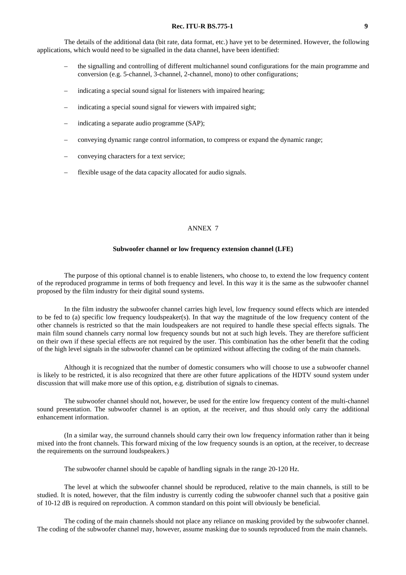The details of the additional data (bit rate, data format, etc.) have yet to be determined. However, the following applications, which would need to be signalled in the data channel, have been identified:

- the signalling and controlling of different multichannel sound configurations for the main programme and conversion (e.g. 5-channel, 3-channel, 2-channel, mono) to other configurations;
- indicating a special sound signal for listeners with impaired hearing;
- indicating a special sound signal for viewers with impaired sight;
- indicating a separate audio programme (SAP);
- conveying dynamic range control information, to compress or expand the dynamic range;
- conveying characters for a text service;
- flexible usage of the data capacity allocated for audio signals.

### ANNEX 7

#### **Subwoofer channel or low frequency extension channel (LFE)**

The purpose of this optional channel is to enable listeners, who choose to, to extend the low frequency content of the reproduced programme in terms of both frequency and level. In this way it is the same as the subwoofer channel proposed by the film industry for their digital sound systems.

In the film industry the subwoofer channel carries high level, low frequency sound effects which are intended to be fed to (a) specific low frequency loudspeaker(s). In that way the magnitude of the low frequency content of the other channels is restricted so that the main loudspeakers are not required to handle these special effects signals. The main film sound channels carry normal low frequency sounds but not at such high levels. They are therefore sufficient on their own if these special effects are not required by the user. This combination has the other benefit that the coding of the high level signals in the subwoofer channel can be optimized without affecting the coding of the main channels.

Although it is recognized that the number of domestic consumers who will choose to use a subwoofer channel is likely to be restricted, it is also recognized that there are other future applications of the HDTV sound system under discussion that will make more use of this option, e.g. distribution of signals to cinemas.

The subwoofer channel should not, however, be used for the entire low frequency content of the multi-channel sound presentation. The subwoofer channel is an option, at the receiver, and thus should only carry the additional enhancement information.

(In a similar way, the surround channels should carry their own low frequency information rather than it being mixed into the front channels. This forward mixing of the low frequency sounds is an option, at the receiver, to decrease the requirements on the surround loudspeakers.)

The subwoofer channel should be capable of handling signals in the range 20-120 Hz.

The level at which the subwoofer channel should be reproduced, relative to the main channels, is still to be studied. It is noted, however, that the film industry is currently coding the subwoofer channel such that a positive gain of 10-12 dB is required on reproduction. A common standard on this point will obviously be beneficial.

The coding of the main channels should not place any reliance on masking provided by the subwoofer channel. The coding of the subwoofer channel may, however, assume masking due to sounds reproduced from the main channels.